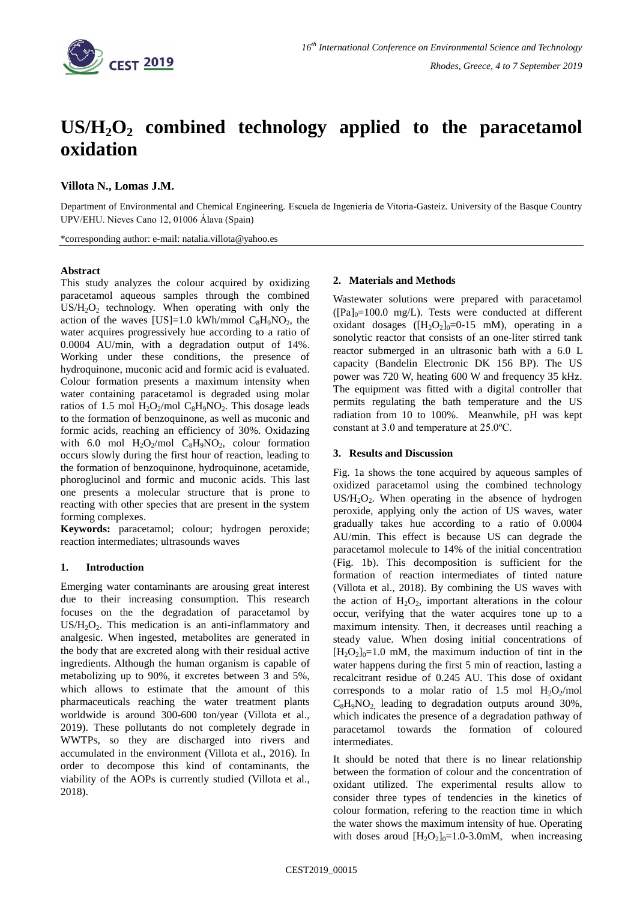

# **US/H2O<sup>2</sup> combined technology applied to the paracetamol oxidation**

# **Villota N., Lomas J.M.**

Department of Environmental and Chemical Engineering. Escuela de Ingeniería de Vitoria-Gasteiz. University of the Basque Country UPV/EHU. Nieves Cano 12, 01006 Álava (Spain)

\*corresponding author: e-mail: natalia.villota@yahoo.es

## **Abstract**

This study analyzes the colour acquired by oxidizing paracetamol aqueous samples through the combined  $US/H<sub>2</sub>O<sub>2</sub>$  technology. When operating with only the action of the waves [US]=1.0 kWh/mmol  $C_8H_9NO_2$ , the water acquires progressively hue according to a ratio of 0.0004 AU/min, with a degradation output of 14%. Working under these conditions, the presence of hydroquinone, muconic acid and formic acid is evaluated. Colour formation presents a maximum intensity when water containing paracetamol is degraded using molar ratios of 1.5 mol  $H_2O_2$ /mol  $C_8H_9NO_2$ . This dosage leads to the formation of benzoquinone, as well as muconic and formic acids, reaching an efficiency of 30%. Oxidazing with 6.0 mol  $H_2O_2$ /mol  $C_8H_9NO_2$ , colour formation occurs slowly during the first hour of reaction, leading to the formation of benzoquinone, hydroquinone, acetamide, phoroglucinol and formic and muconic acids. This last one presents a molecular structure that is prone to reacting with other species that are present in the system forming complexes.

**Keywords:** paracetamol; colour; hydrogen peroxide; reaction intermediates; ultrasounds waves

## **1. Introduction**

Emerging water contaminants are arousing great interest due to their increasing consumption. This research focuses on the the degradation of paracetamol by US/H<sub>2</sub>O<sub>2</sub>. This medication is an anti-inflammatory and analgesic. When ingested, metabolites are generated in the body that are excreted along with their residual active ingredients. Although the human organism is capable of metabolizing up to 90%, it excretes between 3 and 5%, which allows to estimate that the amount of this pharmaceuticals reaching the water treatment plants worldwide is around 300-600 ton/year (Villota et al., 2019). These pollutants do not completely degrade in WWTPs, so they are discharged into rivers and accumulated in the environment (Villota et al., 2016). In order to decompose this kind of contaminants, the viability of the AOPs is currently studied (Villota et al., 2018).

#### **2. Materials and Methods**

Wastewater solutions were prepared with paracetamol  $([Pa]_0=100.0$  mg/L). Tests were conducted at different oxidant dosages ( $[H_2O_2]_0=0$ -15 mM), operating in a sonolytic reactor that consists of an one-liter stirred tank reactor submerged in an ultrasonic bath with a 6.0 L capacity (Bandelin Electronic DK 156 BP). The US power was 720 W, heating 600 W and frequency 35 kHz. The equipment was fitted with a digital controller that permits regulating the bath temperature and the US radiation from 10 to 100%. Meanwhile, pH was kept constant at 3.0 and temperature at 25.0ºC.

### **3. Results and Discussion**

Fig. 1a shows the tone acquired by aqueous samples of oxidized paracetamol using the combined technology  $US/H<sub>2</sub>O<sub>2</sub>$ . When operating in the absence of hydrogen peroxide, applying only the action of US waves, water gradually takes hue according to a ratio of 0.0004 AU/min. This effect is because US can degrade the paracetamol molecule to 14% of the initial concentration (Fig. 1b). This decomposition is sufficient for the formation of reaction intermediates of tinted nature (Villota et al., 2018). By combining the US waves with the action of  $H_2O_2$ , important alterations in the colour occur, verifying that the water acquires tone up to a maximum intensity. Then, it decreases until reaching a steady value. When dosing initial concentrations of  $[H_2O_2]_0=1.0$  mM, the maximum induction of tint in the water happens during the first 5 min of reaction, lasting a recalcitrant residue of 0.245 AU. This dose of oxidant corresponds to a molar ratio of 1.5 mol  $H_2O_2$ /mol  $C_8H_9NO_2$  leading to degradation outputs around 30%, which indicates the presence of a degradation pathway of paracetamol towards the formation of coloured intermediates.

It should be noted that there is no linear relationship between the formation of colour and the concentration of oxidant utilized. The experimental results allow to consider three types of tendencies in the kinetics of colour formation, refering to the reaction time in which the water shows the maximum intensity of hue. Operating with doses aroud  $[H_2O_2]_0=1.0-3.0$  mM, when increasing